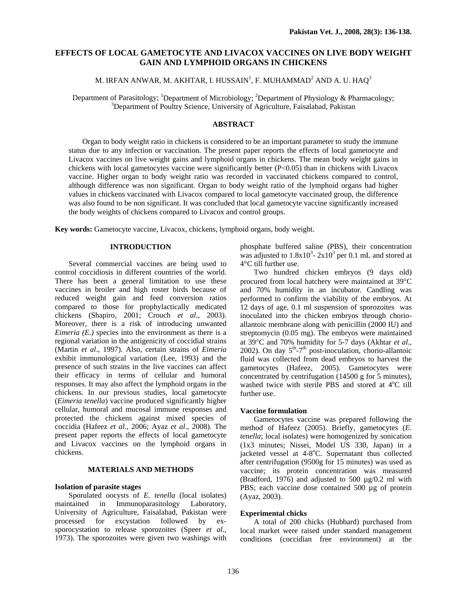# **EFFECTS OF LOCAL GAMETOCYTE AND LIVACOX VACCINES ON LIVE BODY WEIGHT GAIN AND LYMPHOID ORGANS IN CHICKENS**

M. IRFAN ANWAR, M. AKHTAR, I. HUSSAIN $^{\rm l}$ , F. MUHAMMAD $^{\rm 2}$  AND A. U. HA $\rm Q^3$ 

Department of Parasitology; <sup>1</sup>Department of Microbiology; <sup>2</sup>Department of Physiology & Pharmacology; <sup>3</sup>Department of Paultry Science, University of Agriculture, Esisology & Pharmacology; <sup>3</sup>Department of Poultry Science, University of Agriculture, Faisalabad, Pakistan

### **ABSTRACT**

Organ to body weight ratio in chickens is considered to be an important parameter to study the immune status due to any infection or vaccination. The present paper reports the effects of local gametocyte and Livacox vaccines on live weight gains and lymphoid organs in chickens. The mean body weight gains in chickens with local gametocytes vaccine were significantly better (P<0.05) than in chickens with Livacox vaccine. Higher organ to body weight ratio was recorded in vaccinated chickens compared to control, although difference was non significant. Organ to body weight ratio of the lymphoid organs had higher values in chickens vaccinated with Livacox compared to local gametocyte vaccinated group, the difference was also found to be non significant. It was concluded that local gametocyte vaccine significantly increased the body weights of chickens compared to Livacox and control groups.

**Key words:** Gametocyte vaccine, Livacox, chickens, lymphoid organs, body weight.

## **INTRODUCTION**

Several commercial vaccines are being used to control coccidiosis in different countries of the world. There has been a general limitation to use these vaccines in broiler and high roster birds because of reduced weight gain and feed conversion ratios compared to those for prophylactically medicated chickens (Shapiro, 2001; Crouch *et al*., 2003). Moreover, there is a risk of introducing unwanted *Eimeria (E.)* species into the environment as there is a regional variation in the antigenicity of coccidial strains (Martin *et al*., 1997). Also, certain strains of *Eimeria* exhibit immunological variation (Lee, 1993) and the presence of such strains in the live vaccines can affect their efficacy in terms of cellular and humoral responses. It may also affect the lymphoid organs in the chickens. In our previous studies, local gametocyte (*Eimeria tenella*) vaccine produced significantly higher cellular, humoral and mucosal immune responses and protected the chickens against mixed species of coccidia (Hafeez *et al.*, 2006; Ayaz *et al*., 2008). The present paper reports the effects of local gametocyte and Livacox vaccines on the lymphoid organs in chickens.

## **MATERIALS AND METHODS**

## **Isolation of parasite stages**

Sporulated oocysts of *E. tenella* (local isolates) maintained in Immunoparasitology Laboratory, University of Agriculture, Faisalabad, Pakistan were processed for excystation followed by exsporocystation to release sporozoites (Speer *et al.,*  1973). The sporozoites were given two washings with phosphate buffered saline (PBS), their concentration was adjusted to  $1.8x10^3$ -  $2x10^3$  per 0.1 mL and stored at 4°C till further use.

Two hundred chicken embryos (9 days old) procured from local hatchery were maintained at 39°C and 70% humidity in an incubator. Candling was performed to confirm the viability of the embryos. At 12 days of age, 0.1 ml suspension of sporozoites was inoculated into the chicken embryos through chorioallantoic membrane along with penicillin (2000 IU) and streptomycin (0.05 mg). The embryos were maintained at 39°C and 70% humidity for 5-7 days (Akhtar *et al*., 2002). On day  $5<sup>th</sup> - 7<sup>th</sup>$  post-inoculation, chorio-allantoic fluid was collected from dead embryos to harvest the gametocytes (Hafeez, 2005). Gametocytes were concentrated by centrifugation (14500 g for 5 minutes), washed twice with sterile PBS and stored at 4°C till further use.

### **Vaccine formulation**

Gametocytes vaccine was prepared following the method of Hafeez (2005). Briefly, gametocytes (*E. tenella*; local isolates) were homogenized by sonication (1x3 minutes; Nissei, Model US 330, Japan) in a jacketed vessel at 4-8°C. Supernatant thus collected after centrifugation (9500g for 15 minutes) was used as vaccine; its protein concentration was measured (Bradford, 1976) and adjusted to 500 µg/0.2 ml with PBS; each vaccine dose contained 500 µg of protein (Ayaz, 2003).

#### **Experimental chicks**

A total of 200 chicks (Hubbard) purchased from local market were raised under standard management conditions (coccidian free environment) at the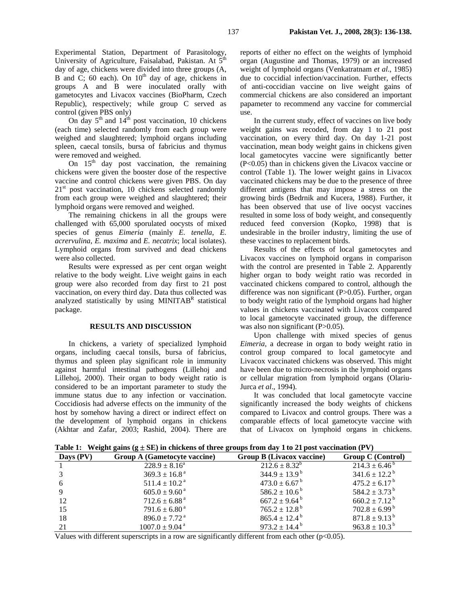Experimental Station, Department of Parasitology, University of Agriculture, Faisalabad, Pakistan. At 5<sup>th</sup> day of age, chickens were divided into three groups (A, B and C; 60 each). On  $10<sup>th</sup>$  day of age, chickens in groups A and B were inoculated orally with gametocytes and Livacox vaccines (BioPharm, Czech Republic), respectively; while group C served as control (given PBS only)

On day  $5<sup>th</sup>$  and  $14<sup>th</sup>$  post vaccination, 10 chickens (each time) selected randomly from each group were weighed and slaughtered; lymphoid organs including spleen, caecal tonsils, bursa of fabricius and thymus were removed and weighed.

On  $15<sup>th</sup>$  day post vaccination, the remaining chickens were given the booster dose of the respective vaccine and control chickens were given PBS. On day  $21<sup>st</sup>$  post vaccination, 10 chickens selected randomly from each group were weighed and slaughtered; their lymphoid organs were removed and weighed.

The remaining chickens in all the groups were challenged with 65,000 sporulated oocysts of mixed species of genus *Eimeria* (mainly *E. tenella*, *E. acrervulina*, *E. maxima* and *E. necatrix*; local isolates). Lymphoid organs from survived and dead chickens were also collected.

Results were expressed as per cent organ weight relative to the body weight. Live weight gains in each group were also recorded from day first to 21 post vaccination, on every third day. Data thus collected was analyzed statistically by using MINITAB<sup>R</sup> statistical package.

#### **RESULTS AND DISCUSSION**

In chickens, a variety of specialized lymphoid organs, including caecal tonsils, bursa of fabricius, thymus and spleen play significant role in immunity against harmful intestinal pathogens (Lillehoj and Lillehoj, 2000). Their organ to body weight ratio is considered to be an important parameter to study the immune status due to any infection or vaccination. Coccidiosis had adverse effects on the immunity of the host by somehow having a direct or indirect effect on the development of lymphoid organs in chickens (Akhtar and Zafar, 2003; Rashid, 2004). There are

reports of either no effect on the weights of lymphoid organ (Augustine and Thomas, 1979) or an increased weight of lymphoid organs (Venkatratnam *et al*., 1985) due to coccidial infection/vaccination. Further, effects of anti-coccidian vaccine on live weight gains of commercial chickens are also considered an important papameter to recommend any vaccine for commercial use.

In the current study, effect of vaccines on live body weight gains was recoded, from day 1 to 21 post vaccination, on every third day. On day 1-21 post vaccination, mean body weight gains in chickens given local gametocytes vaccine were significantly better (P<0.05) than in chickens given the Livacox vaccine or control (Table 1). The lower weight gains in Livacox vaccinated chickens may be due to the presence of three different antigens that may impose a stress on the growing birds (Bedrnik and Kucera, 1988). Further, it has been observed that use of live oocyst vaccines resulted in some loss of body weight, and consequently reduced feed conversion (Kopko, 1998) that is undesirable in the broiler industry, limiting the use of these vaccines to replacement birds.

Results of the effects of local gametocytes and Livacox vaccines on lymphoid organs in comparison with the control are presented in Table 2. Apparently higher organ to body weight ratio was recorded in vaccinated chickens compared to control, although the difference was non significant (P>0.05). Further, organ to body weight ratio of the lymphoid organs had higher values in chickens vaccinated with Livacox compared to local gametocyte vaccinated group, the difference was also non significant (P>0.05).

Upon challenge with mixed species of genus *Eimeria,* a decrease in organ to body weight ratio in control group compared to local gametocyte and Livacox vaccinated chickens was observed. This might have been due to micro-necrosis in the lymphoid organs or cellular migration from lymphoid organs (Olariu-Jurca *et al*., 1994).

It was concluded that local gametocyte vaccine significantly increased the body weights of chickens compared to Livacox and control groups. There was a comparable effects of local gametocyte vaccine with that of Livacox on lymphoid organs in chickens.

**Table 1:** Weight gains ( $g \pm SE$ ) in chickens of three groups from day 1 to 21 post vaccination (PV)

| Days (PV) | Group A (Gametocyte vaccine)   | Group B (Livacox vaccine)     | <b>Group C (Control)</b>      |
|-----------|--------------------------------|-------------------------------|-------------------------------|
|           | $228.9 \pm 8.16^a$             | $212.6 \pm 8.32^b$            | $214.3 \pm 6.46^{\circ}$      |
|           | $369.3 \pm 16.8^{\text{a}}$    | $344.9 \pm 13.9^{\mathrm{b}}$ | $341.6 \pm 12.2^{\mathrm{b}}$ |
|           | $511.4 \pm 10.2^{\text{a}}$    | $473.0 \pm 6.67^{\mathrm{b}}$ | $475.2 \pm 6.17^{\mathrm{b}}$ |
|           | $605.0 \pm 9.60^{\text{ a}}$   | $586.2 \pm 10.6^{\mathrm{b}}$ | $584.2 \pm 3.73^{\mathrm{b}}$ |
| 12        | $712.6 \pm 6.88$ <sup>a</sup>  | $667.2 \pm 9.64^{\mathrm{b}}$ | $660.2 \pm 7.12^{\text{b}}$   |
| 15        | $791.6 \pm 6.80^{\text{ a}}$   | $765.2 \pm 12.8^{\mathrm{b}}$ | $702.8 \pm 6.99^{\mathrm{b}}$ |
| 18        | $896.0 \pm 7.72$ <sup>a</sup>  | $865.4 \pm 12.4^{\mathrm{b}}$ | $871.8 \pm 9.13^{\mathrm{b}}$ |
| 21        | $1007.0 \pm 9.04$ <sup>a</sup> | $973.2 \pm 14.4^{\mathrm{b}}$ | $963.8 \pm 10.3^{\mathrm{b}}$ |

Values with different superscripts in a row are significantly different from each other  $(p<0.05)$ .